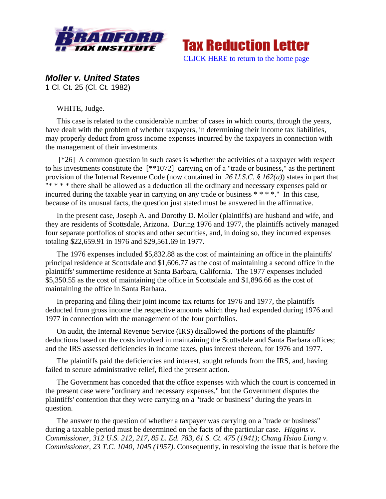



*Moller v. United States* 

1 Cl. Ct. 25 (Cl. Ct. 1982)

WHITE, Judge.

This case is related to the considerable number of cases in which courts, through the years, have dealt with the problem of whether taxpayers, in determining their income tax liabilities, may properly deduct from gross income expenses incurred by the taxpayers in connection with the management of their investments.

 [\*26] A common question in such cases is whether the activities of a taxpayer with respect to his investments constitute the [\*\*1072] carrying on of a "trade or business," as the pertinent provision of the Internal Revenue Code (now contained in *26 U.S.C. § 162(a)*) states in part that "\* \* \* \* there shall be allowed as a deduction all the ordinary and necessary expenses paid or incurred during the taxable year in carrying on any trade or business \* \* \* \*." In this case, because of its unusual facts, the question just stated must be answered in the affirmative.

In the present case, Joseph A. and Dorothy D. Moller (plaintiffs) are husband and wife, and they are residents of Scottsdale, Arizona. During 1976 and 1977, the plaintiffs actively managed four separate portfolios of stocks and other securities, and, in doing so, they incurred expenses totaling \$22,659.91 in 1976 and \$29,561.69 in 1977.

The 1976 expenses included \$5,832.88 as the cost of maintaining an office in the plaintiffs' principal residence at Scottsdale and \$1,606.77 as the cost of maintaining a second office in the plaintiffs' summertime residence at Santa Barbara, California. The 1977 expenses included \$5,350.55 as the cost of maintaining the office in Scottsdale and \$1,896.66 as the cost of maintaining the office in Santa Barbara.

In preparing and filing their joint income tax returns for 1976 and 1977, the plaintiffs deducted from gross income the respective amounts which they had expended during 1976 and 1977 in connection with the management of the four portfolios.

On audit, the Internal Revenue Service (IRS) disallowed the portions of the plaintiffs' deductions based on the costs involved in maintaining the Scottsdale and Santa Barbara offices; and the IRS assessed deficiencies in income taxes, plus interest thereon, for 1976 and 1977.

The plaintiffs paid the deficiencies and interest, sought refunds from the IRS, and, having failed to secure administrative relief, filed the present action.

The Government has conceded that the office expenses with which the court is concerned in the present case were "ordinary and necessary expenses," but the Government disputes the plaintiffs' contention that they were carrying on a "trade or business" during the years in question.

The answer to the question of whether a taxpayer was carrying on a "trade or business" during a taxable period must be determined on the facts of the particular case. *Higgins v. Commissioner, 312 U.S. 212, 217, 85 L. Ed. 783, 61 S. Ct. 475 (1941)*; *Chang Hsiao Liang v. Commissioner, 23 T.C. 1040, 1045 (1957)*. Consequently, in resolving the issue that is before the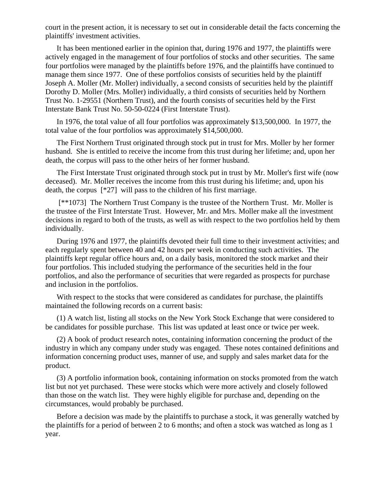court in the present action, it is necessary to set out in considerable detail the facts concerning the plaintiffs' investment activities.

It has been mentioned earlier in the opinion that, during 1976 and 1977, the plaintiffs were actively engaged in the management of four portfolios of stocks and other securities. The same four portfolios were managed by the plaintiffs before 1976, and the plaintiffs have continued to manage them since 1977. One of these portfolios consists of securities held by the plaintiff Joseph A. Moller (Mr. Moller) individually, a second consists of securities held by the plaintiff Dorothy D. Moller (Mrs. Moller) individually, a third consists of securities held by Northern Trust No. 1-29551 (Northern Trust), and the fourth consists of securities held by the First Interstate Bank Trust No. 50-50-0224 (First Interstate Trust).

In 1976, the total value of all four portfolios was approximately \$13,500,000. In 1977, the total value of the four portfolios was approximately \$14,500,000.

The First Northern Trust originated through stock put in trust for Mrs. Moller by her former husband. She is entitled to receive the income from this trust during her lifetime; and, upon her death, the corpus will pass to the other heirs of her former husband.

The First Interstate Trust originated through stock put in trust by Mr. Moller's first wife (now deceased). Mr. Moller receives the income from this trust during his lifetime; and, upon his death, the corpus [\*27] will pass to the children of his first marriage.

 [\*\*1073] The Northern Trust Company is the trustee of the Northern Trust. Mr. Moller is the trustee of the First Interstate Trust. However, Mr. and Mrs. Moller make all the investment decisions in regard to both of the trusts, as well as with respect to the two portfolios held by them individually.

During 1976 and 1977, the plaintiffs devoted their full time to their investment activities; and each regularly spent between 40 and 42 hours per week in conducting such activities. The plaintiffs kept regular office hours and, on a daily basis, monitored the stock market and their four portfolios. This included studying the performance of the securities held in the four portfolios, and also the performance of securities that were regarded as prospects for purchase and inclusion in the portfolios.

With respect to the stocks that were considered as candidates for purchase, the plaintiffs maintained the following records on a current basis:

(1) A watch list, listing all stocks on the New York Stock Exchange that were considered to be candidates for possible purchase. This list was updated at least once or twice per week.

(2) A book of product research notes, containing information concerning the product of the industry in which any company under study was engaged. These notes contained definitions and information concerning product uses, manner of use, and supply and sales market data for the product.

(3) A portfolio information book, containing information on stocks promoted from the watch list but not yet purchased. These were stocks which were more actively and closely followed than those on the watch list. They were highly eligible for purchase and, depending on the circumstances, would probably be purchased.

Before a decision was made by the plaintiffs to purchase a stock, it was generally watched by the plaintiffs for a period of between 2 to 6 months; and often a stock was watched as long as 1 year.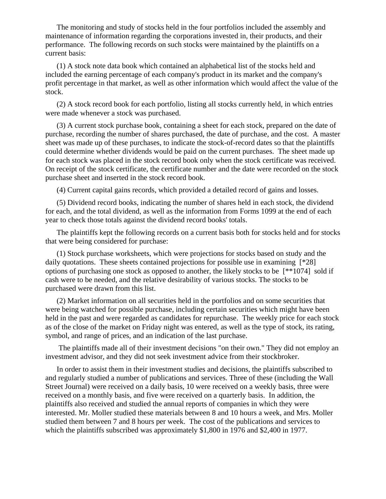The monitoring and study of stocks held in the four portfolios included the assembly and maintenance of information regarding the corporations invested in, their products, and their performance. The following records on such stocks were maintained by the plaintiffs on a current basis:

(1) A stock note data book which contained an alphabetical list of the stocks held and included the earning percentage of each company's product in its market and the company's profit percentage in that market, as well as other information which would affect the value of the stock.

(2) A stock record book for each portfolio, listing all stocks currently held, in which entries were made whenever a stock was purchased.

(3) A current stock purchase book, containing a sheet for each stock, prepared on the date of purchase, recording the number of shares purchased, the date of purchase, and the cost. A master sheet was made up of these purchases, to indicate the stock-of-record dates so that the plaintiffs could determine whether dividends would be paid on the current purchases. The sheet made up for each stock was placed in the stock record book only when the stock certificate was received. On receipt of the stock certificate, the certificate number and the date were recorded on the stock purchase sheet and inserted in the stock record book.

(4) Current capital gains records, which provided a detailed record of gains and losses.

(5) Dividend record books, indicating the number of shares held in each stock, the dividend for each, and the total dividend, as well as the information from Forms 1099 at the end of each year to check those totals against the dividend record books' totals.

The plaintiffs kept the following records on a current basis both for stocks held and for stocks that were being considered for purchase:

(1) Stock purchase worksheets, which were projections for stocks based on study and the daily quotations. These sheets contained projections for possible use in examining  $[^*28]$ options of purchasing one stock as opposed to another, the likely stocks to be [\*\*1074] sold if cash were to be needed, and the relative desirability of various stocks. The stocks to be purchased were drawn from this list.

(2) Market information on all securities held in the portfolios and on some securities that were being watched for possible purchase, including certain securities which might have been held in the past and were regarded as candidates for repurchase. The weekly price for each stock as of the close of the market on Friday night was entered, as well as the type of stock, its rating, symbol, and range of prices, and an indication of the last purchase.

 The plaintiffs made all of their investment decisions "on their own." They did not employ an investment advisor, and they did not seek investment advice from their stockbroker.

In order to assist them in their investment studies and decisions, the plaintiffs subscribed to and regularly studied a number of publications and services. Three of these (including the Wall Street Journal) were received on a daily basis, 10 were received on a weekly basis, three were received on a monthly basis, and five were received on a quarterly basis. In addition, the plaintiffs also received and studied the annual reports of companies in which they were interested. Mr. Moller studied these materials between 8 and 10 hours a week, and Mrs. Moller studied them between 7 and 8 hours per week. The cost of the publications and services to which the plaintiffs subscribed was approximately \$1,800 in 1976 and \$2,400 in 1977.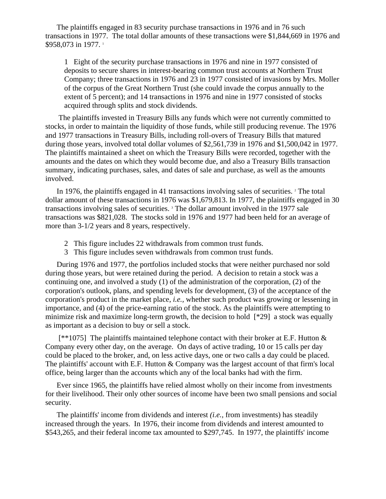The plaintiffs engaged in 83 security purchase transactions in 1976 and in 76 such transactions in 1977. The total dollar amounts of these transactions were \$1,844,669 in 1976 and \$958,073 in 1977.<sup>1</sup>

1 Eight of the security purchase transactions in 1976 and nine in 1977 consisted of deposits to secure shares in interest-bearing common trust accounts at Northern Trust Company; three transactions in 1976 and 23 in 1977 consisted of invasions by Mrs. Moller of the corpus of the Great Northern Trust (she could invade the corpus annually to the extent of 5 percent); and 14 transactions in 1976 and nine in 1977 consisted of stocks acquired through splits and stock dividends.

 The plaintiffs invested in Treasury Bills any funds which were not currently committed to stocks, in order to maintain the liquidity of those funds, while still producing revenue. The 1976 and 1977 transactions in Treasury Bills, including roll-overs of Treasury Bills that matured during those years, involved total dollar volumes of \$2,561,739 in 1976 and \$1,500,042 in 1977. The plaintiffs maintained a sheet on which the Treasury Bills were recorded, together with the amounts and the dates on which they would become due, and also a Treasury Bills transaction summary, indicating purchases, sales, and dates of sale and purchase, as well as the amounts involved.

In 1976, the plaintiffs engaged in 41 transactions involving sales of securities. <sup>2</sup> The total dollar amount of these transactions in 1976 was \$1,679,813. In 1977, the plaintiffs engaged in 30 transactions involving sales of securities. 3 The dollar amount involved in the 1977 sale transactions was \$821,028. The stocks sold in 1976 and 1977 had been held for an average of more than 3-1/2 years and 8 years, respectively.

- 2 This figure includes 22 withdrawals from common trust funds.
- 3 This figure includes seven withdrawals from common trust funds.

During 1976 and 1977, the portfolios included stocks that were neither purchased nor sold during those years, but were retained during the period. A decision to retain a stock was a continuing one, and involved a study (1) of the administration of the corporation, (2) of the corporation's outlook, plans, and spending levels for development, (3) of the acceptance of the corporation's product in the market place, *i.e.,* whether such product was growing or lessening in importance, and (4) of the price-earning ratio of the stock. As the plaintiffs were attempting to minimize risk and maximize long-term growth, the decision to hold [\*29] a stock was equally as important as a decision to buy or sell a stock.

[\*\*1075] The plaintiffs maintained telephone contact with their broker at E.F. Hutton  $&$ Company every other day, on the average. On days of active trading, 10 or 15 calls per day could be placed to the broker, and, on less active days, one or two calls a day could be placed. The plaintiffs' account with E.F. Hutton & Company was the largest account of that firm's local office, being larger than the accounts which any of the local banks had with the firm.

Ever since 1965, the plaintiffs have relied almost wholly on their income from investments for their livelihood. Their only other sources of income have been two small pensions and social security.

The plaintiffs' income from dividends and interest *(i.e.,* from investments) has steadily increased through the years. In 1976, their income from dividends and interest amounted to \$543,265, and their federal income tax amounted to \$297,745. In 1977, the plaintiffs' income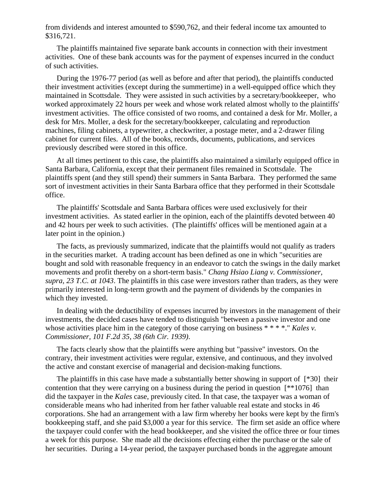from dividends and interest amounted to \$590,762, and their federal income tax amounted to \$316,721.

The plaintiffs maintained five separate bank accounts in connection with their investment activities. One of these bank accounts was for the payment of expenses incurred in the conduct of such activities.

During the 1976-77 period (as well as before and after that period), the plaintiffs conducted their investment activities (except during the summertime) in a well-equipped office which they maintained in Scottsdale. They were assisted in such activities by a secretary/bookkeeper, who worked approximately 22 hours per week and whose work related almost wholly to the plaintiffs' investment activities. The office consisted of two rooms, and contained a desk for Mr. Moller, a desk for Mrs. Moller, a desk for the secretary/bookkeeper, calculating and reproduction machines, filing cabinets, a typewriter, a checkwriter, a postage meter, and a 2-drawer filing cabinet for current files. All of the books, records, documents, publications, and services previously described were stored in this office.

At all times pertinent to this case, the plaintiffs also maintained a similarly equipped office in Santa Barbara, California, except that their permanent files remained in Scottsdale. The plaintiffs spent (and they still spend) their summers in Santa Barbara. They performed the same sort of investment activities in their Santa Barbara office that they performed in their Scottsdale office.

The plaintiffs' Scottsdale and Santa Barbara offices were used exclusively for their investment activities. As stated earlier in the opinion, each of the plaintiffs devoted between 40 and 42 hours per week to such activities. (The plaintiffs' offices will be mentioned again at a later point in the opinion.)

The facts, as previously summarized, indicate that the plaintiffs would not qualify as traders in the securities market. A trading account has been defined as one in which "securities are bought and sold with reasonable frequency in an endeavor to catch the swings in the daily market movements and profit thereby on a short-term basis." *Chang Hsiao Liang v. Commissioner, supra, 23 T.C. at 1043*. The plaintiffs in this case were investors rather than traders, as they were primarily interested in long-term growth and the payment of dividends by the companies in which they invested.

In dealing with the deductibility of expenses incurred by investors in the management of their investments, the decided cases have tended to distinguish "between a passive investor and one whose activities place him in the category of those carrying on business \* \* \* \*..." *Kales v. Commissioner, 101 F.2d 35, 38 (6th Cir. 1939)*.

The facts clearly show that the plaintiffs were anything but "passive" investors. On the contrary, their investment activities were regular, extensive, and continuous, and they involved the active and constant exercise of managerial and decision-making functions.

The plaintiffs in this case have made a substantially better showing in support of [\*30] their contention that they were carrying on a business during the period in question [\*\*1076] than did the taxpayer in the *Kales* case, previously cited. In that case, the taxpayer was a woman of considerable means who had inherited from her father valuable real estate and stocks in 46 corporations. She had an arrangement with a law firm whereby her books were kept by the firm's bookkeeping staff, and she paid \$3,000 a year for this service. The firm set aside an office where the taxpayer could confer with the head bookkeeper, and she visited the office three or four times a week for this purpose. She made all the decisions effecting either the purchase or the sale of her securities. During a 14-year period, the taxpayer purchased bonds in the aggregate amount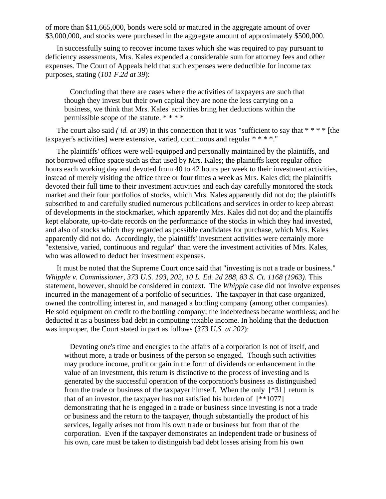of more than \$11,665,000, bonds were sold or matured in the aggregate amount of over \$3,000,000, and stocks were purchased in the aggregate amount of approximately \$500,000.

In successfully suing to recover income taxes which she was required to pay pursuant to deficiency assessments, Mrs. Kales expended a considerable sum for attorney fees and other expenses. The Court of Appeals held that such expenses were deductible for income tax purposes, stating (*101 F.2d at 39*):

 Concluding that there are cases where the activities of taxpayers are such that though they invest but their own capital they are none the less carrying on a business, we think that Mrs. Kales' activities bring her deductions within the permissible scope of the statute. \* \* \* \*

The court also said *(id. at 39)* in this connection that it was "sufficient to say that  $***$  \* \* [the taxpayer's activities] were extensive, varied, continuous and regular \* \* \* \*."

The plaintiffs' offices were well-equipped and personally maintained by the plaintiffs, and not borrowed office space such as that used by Mrs. Kales; the plaintiffs kept regular office hours each working day and devoted from 40 to 42 hours per week to their investment activities, instead of merely visiting the office three or four times a week as Mrs. Kales did; the plaintiffs devoted their full time to their investment activities and each day carefully monitored the stock market and their four portfolios of stocks, which Mrs. Kales apparently did not do; the plaintiffs subscribed to and carefully studied numerous publications and services in order to keep abreast of developments in the stockmarket, which apparently Mrs. Kales did not do; and the plaintiffs kept elaborate, up-to-date records on the performance of the stocks in which they had invested, and also of stocks which they regarded as possible candidates for purchase, which Mrs. Kales apparently did not do. Accordingly, the plaintiffs' investment activities were certainly more "extensive, varied, continuous and regular" than were the investment activities of Mrs. Kales, who was allowed to deduct her investment expenses.

It must be noted that the Supreme Court once said that "investing is not a trade or business." *Whipple v. Commissioner, 373 U.S. 193, 202, 10 L. Ed. 2d 288, 83 S. Ct. 1168 (1963)*. This statement, however, should be considered in context. The *Whipple* case did not involve expenses incurred in the management of a portfolio of securities. The taxpayer in that case organized, owned the controlling interest in, and managed a bottling company (among other companies). He sold equipment on credit to the bottling company; the indebtedness became worthless; and he deducted it as a business bad debt in computing taxable income. In holding that the deduction was improper, the Court stated in part as follows (*373 U.S. at 202*):

 Devoting one's time and energies to the affairs of a corporation is not of itself, and without more, a trade or business of the person so engaged. Though such activities may produce income, profit or gain in the form of dividends or enhancement in the value of an investment, this return is distinctive to the process of investing and is generated by the successful operation of the corporation's business as distinguished from the trade or business of the taxpayer himself. When the only [\*31] return is that of an investor, the taxpayer has not satisfied his burden of  $[^{**}1077]$ demonstrating that he is engaged in a trade or business since investing is not a trade or business and the return to the taxpayer, though substantially the product of his services, legally arises not from his own trade or business but from that of the corporation. Even if the taxpayer demonstrates an independent trade or business of his own, care must be taken to distinguish bad debt losses arising from his own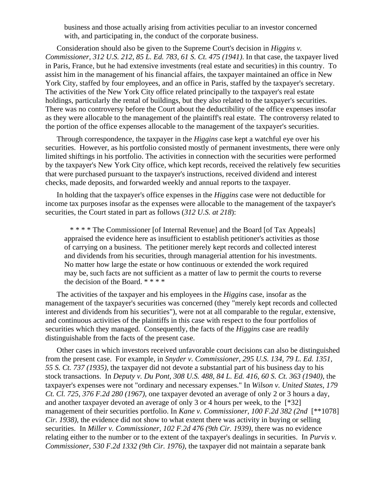business and those actually arising from activities peculiar to an investor concerned with, and participating in, the conduct of the corporate business.

Consideration should also be given to the Supreme Court's decision in *Higgins v. Commissioner, 312 U.S. 212, 85 L. Ed. 783, 61 S. Ct. 475 (1941)*. In that case, the taxpayer lived in Paris, France, but he had extensive investments (real estate and securities) in this country. To assist him in the management of his financial affairs, the taxpayer maintained an office in New York City, staffed by four employees, and an office in Paris, staffed by the taxpayer's secretary. The activities of the New York City office related principally to the taxpayer's real estate holdings, particularly the rental of buildings, but they also related to the taxpayer's securities. There was no controversy before the Court about the deductibility of the office expenses insofar as they were allocable to the management of the plaintiff's real estate. The controversy related to the portion of the office expenses allocable to the management of the taxpayer's securities.

Through correspondence, the taxpayer in the *Higgins* case kept a watchful eye over his securities. However, as his portfolio consisted mostly of permanent investments, there were only limited shiftings in his portfolio. The activities in connection with the securities were performed by the taxpayer's New York City office, which kept records, received the relatively few securities that were purchased pursuant to the taxpayer's instructions, received dividend and interest checks, made deposits, and forwarded weekly and annual reports to the taxpayer.

In holding that the taxpayer's office expenses in the *Higgins* case were not deductible for income tax purposes insofar as the expenses were allocable to the management of the taxpayer's securities, the Court stated in part as follows (*312 U.S. at 218*):

 \* \* \* \* The Commissioner [of Internal Revenue] and the Board [of Tax Appeals] appraised the evidence here as insufficient to establish petitioner's activities as those of carrying on a business. The petitioner merely kept records and collected interest and dividends from his securities, through managerial attention for his investments. No matter how large the estate or how continuous or extended the work required may be, such facts are not sufficient as a matter of law to permit the courts to reverse the decision of the Board. \* \* \* \*

The activities of the taxpayer and his employees in the *Higgins* case, insofar as the management of the taxpayer's securities was concerned (they "merely kept records and collected interest and dividends from his securities"), were not at all comparable to the regular, extensive, and continuous activities of the plaintiffs in this case with respect to the four portfolios of securities which they managed. Consequently, the facts of the *Higgins* case are readily distinguishable from the facts of the present case.

Other cases in which investors received unfavorable court decisions can also be distinguished from the present case. For example, in *Snyder v. Commissioner, 295 U.S. 134, 79 L. Ed. 1351, 55 S. Ct. 737 (1935)*, the taxpayer did not devote a substantial part of his business day to his stock transactions. In *Deputy v. Du Pont, 308 U.S. 488, 84 L. Ed. 416, 60 S. Ct. 363 (1940)*, the taxpayer's expenses were not "ordinary and necessary expenses." In *Wilson v. United States, 179 Ct. Cl. 725, 376 F.2d 280 (1967)*, one taxpayer devoted an average of only 2 or 3 hours a day, and another taxpayer devoted an average of only 3 or 4 hours per week, to the [\*32] management of their securities portfolio. In *Kane v. Commissioner, 100 F.2d 382 (2nd* [\*\*1078] *Cir. 1938)*, the evidence did not show to what extent there was activity in buying or selling securities. In *Miller v. Commissioner, 102 F.2d 476 (9th Cir. 1939)*, there was no evidence relating either to the number or to the extent of the taxpayer's dealings in securities. In *Purvis v. Commissioner, 530 F.2d 1332 (9th Cir. 1976)*, the taxpayer did not maintain a separate bank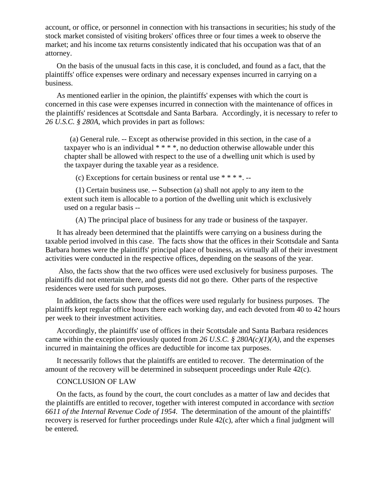account, or office, or personnel in connection with his transactions in securities; his study of the stock market consisted of visiting brokers' offices three or four times a week to observe the market; and his income tax returns consistently indicated that his occupation was that of an attorney.

On the basis of the unusual facts in this case, it is concluded, and found as a fact, that the plaintiffs' office expenses were ordinary and necessary expenses incurred in carrying on a business.

As mentioned earlier in the opinion, the plaintiffs' expenses with which the court is concerned in this case were expenses incurred in connection with the maintenance of offices in the plaintiffs' residences at Scottsdale and Santa Barbara. Accordingly, it is necessary to refer to *26 U.S.C. § 280A*, which provides in part as follows:

 (a) General rule. -- Except as otherwise provided in this section, in the case of a taxpayer who is an individual  $***$ , no deduction otherwise allowable under this chapter shall be allowed with respect to the use of a dwelling unit which is used by the taxpayer during the taxable year as a residence.

(c) Exceptions for certain business or rental use  $***$   $*$ .

(1) Certain business use. -- Subsection (a) shall not apply to any item to the extent such item is allocable to a portion of the dwelling unit which is exclusively used on a regular basis --

(A) The principal place of business for any trade or business of the taxpayer.

It has already been determined that the plaintiffs were carrying on a business during the taxable period involved in this case. The facts show that the offices in their Scottsdale and Santa Barbara homes were the plaintiffs' principal place of business, as virtually all of their investment activities were conducted in the respective offices, depending on the seasons of the year.

 Also, the facts show that the two offices were used exclusively for business purposes. The plaintiffs did not entertain there, and guests did not go there. Other parts of the respective residences were used for such purposes.

In addition, the facts show that the offices were used regularly for business purposes. The plaintiffs kept regular office hours there each working day, and each devoted from 40 to 42 hours per week to their investment activities.

Accordingly, the plaintiffs' use of offices in their Scottsdale and Santa Barbara residences came within the exception previously quoted from *26 U.S.C. § 280A(c)(1)(A)*, and the expenses incurred in maintaining the offices are deductible for income tax purposes.

It necessarily follows that the plaintiffs are entitled to recover. The determination of the amount of the recovery will be determined in subsequent proceedings under Rule 42(c).

## CONCLUSION OF LAW

On the facts, as found by the court, the court concludes as a matter of law and decides that the plaintiffs are entitled to recover, together with interest computed in accordance with *section 6611 of the Internal Revenue Code of 1954*. The determination of the amount of the plaintiffs' recovery is reserved for further proceedings under Rule 42(c), after which a final judgment will be entered.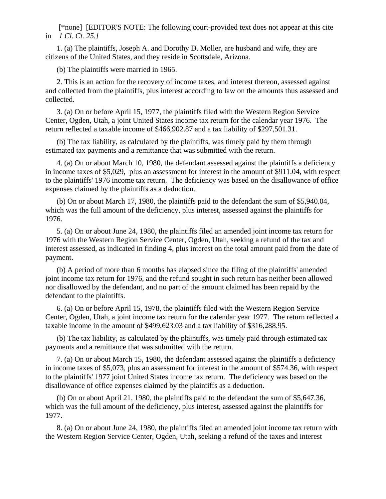[\*none] [EDITOR'S NOTE: The following court-provided text does not appear at this cite in *1 Cl. Ct. 25.]*

1. (a) The plaintiffs, Joseph A. and Dorothy D. Moller, are husband and wife, they are citizens of the United States, and they reside in Scottsdale, Arizona.

(b) The plaintiffs were married in 1965.

2. This is an action for the recovery of income taxes, and interest thereon, assessed against and collected from the plaintiffs, plus interest according to law on the amounts thus assessed and collected.

3. (a) On or before April 15, 1977, the plaintiffs filed with the Western Region Service Center, Ogden, Utah, a joint United States income tax return for the calendar year 1976. The return reflected a taxable income of \$466,902.87 and a tax liability of \$297,501.31.

(b) The tax liability, as calculated by the plaintiffs, was timely paid by them through estimated tax payments and a remittance that was submitted with the return.

4. (a) On or about March 10, 1980, the defendant assessed against the plaintiffs a deficiency in income taxes of \$5,029, plus an assessment for interest in the amount of \$911.04, with respect to the plaintiffs' 1976 income tax return. The deficiency was based on the disallowance of office expenses claimed by the plaintiffs as a deduction.

(b) On or about March 17, 1980, the plaintiffs paid to the defendant the sum of \$5,940.04, which was the full amount of the deficiency, plus interest, assessed against the plaintiffs for 1976.

5. (a) On or about June 24, 1980, the plaintiffs filed an amended joint income tax return for 1976 with the Western Region Service Center, Ogden, Utah, seeking a refund of the tax and interest assessed, as indicated in finding 4, plus interest on the total amount paid from the date of payment.

(b) A period of more than 6 months has elapsed since the filing of the plaintiffs' amended joint income tax return for 1976, and the refund sought in such return has neither been allowed nor disallowed by the defendant, and no part of the amount claimed has been repaid by the defendant to the plaintiffs.

6. (a) On or before April 15, 1978, the plaintiffs filed with the Western Region Service Center, Ogden, Utah, a joint income tax return for the calendar year 1977. The return reflected a taxable income in the amount of \$499,623.03 and a tax liability of \$316,288.95.

(b) The tax liability, as calculated by the plaintiffs, was timely paid through estimated tax payments and a remittance that was submitted with the return.

7. (a) On or about March 15, 1980, the defendant assessed against the plaintiffs a deficiency in income taxes of \$5,073, plus an assessment for interest in the amount of \$574.36, with respect to the plaintiffs' 1977 joint United States income tax return. The deficiency was based on the disallowance of office expenses claimed by the plaintiffs as a deduction.

(b) On or about April 21, 1980, the plaintiffs paid to the defendant the sum of \$5,647.36, which was the full amount of the deficiency, plus interest, assessed against the plaintiffs for 1977.

8. (a) On or about June 24, 1980, the plaintiffs filed an amended joint income tax return with the Western Region Service Center, Ogden, Utah, seeking a refund of the taxes and interest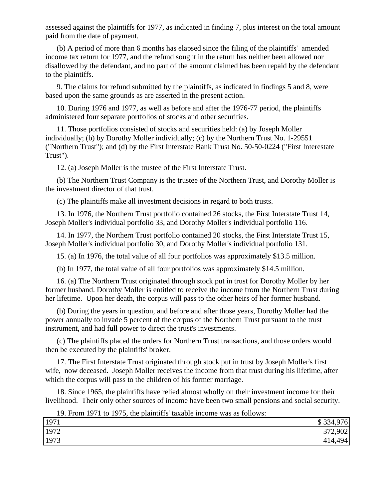assessed against the plaintiffs for 1977, as indicated in finding 7, plus interest on the total amount paid from the date of payment.

(b) A period of more than 6 months has elapsed since the filing of the plaintiffs' amended income tax return for 1977, and the refund sought in the return has neither been allowed nor disallowed by the defendant, and no part of the amount claimed has been repaid by the defendant to the plaintiffs.

9. The claims for refund submitted by the plaintiffs, as indicated in findings 5 and 8, were based upon the same grounds as are asserted in the present action.

10. During 1976 and 1977, as well as before and after the 1976-77 period, the plaintiffs administered four separate portfolios of stocks and other securities.

11. Those portfolios consisted of stocks and securities held: (a) by Joseph Moller individually; (b) by Dorothy Moller individually; (c) by the Northern Trust No. 1-29551 ("Northern Trust"); and (d) by the First Interstate Bank Trust No. 50-50-0224 ("First Interestate Trust").

12. (a) Joseph Moller is the trustee of the First Interstate Trust.

(b) The Northern Trust Company is the trustee of the Northern Trust, and Dorothy Moller is the investment director of that trust.

(c) The plaintiffs make all investment decisions in regard to both trusts.

13. In 1976, the Northern Trust portfolio contained 26 stocks, the First Interstate Trust 14, Joseph Moller's individual portfolio 33, and Dorothy Moller's individual portfolio 116.

14. In 1977, the Northern Trust portfolio contained 20 stocks, the First Interstate Trust 15, Joseph Moller's individual portfolio 30, and Dorothy Moller's individual portfolio 131.

15. (a) In 1976, the total value of all four portfolios was approximately \$13.5 million.

(b) In 1977, the total value of all four portfolios was approximately \$14.5 million.

16. (a) The Northern Trust originated through stock put in trust for Dorothy Moller by her former husband. Dorothy Moller is entitled to receive the income from the Northern Trust during her lifetime. Upon her death, the corpus will pass to the other heirs of her former husband.

(b) During the years in question, and before and after those years, Dorothy Moller had the power annually to invade 5 percent of the corpus of the Northern Trust pursuant to the trust instrument, and had full power to direct the trust's investments.

(c) The plaintiffs placed the orders for Northern Trust transactions, and those orders would then be executed by the plaintiffs' broker.

17. The First Interstate Trust originated through stock put in trust by Joseph Moller's first wife, now deceased. Joseph Moller receives the income from that trust during his lifetime, after which the corpus will pass to the children of his former marriage.

18. Since 1965, the plaintiffs have relied almost wholly on their investment income for their livelihood. Their only other sources of income have been two small pensions and social security.

19. From 1971 to 1975, the plaintiffs' taxable income was as follows:

| 1971 | \$334,<br>976                |
|------|------------------------------|
| 1972 | 372,902<br>$J/I \rightarrow$ |
| 1973 | 414,494                      |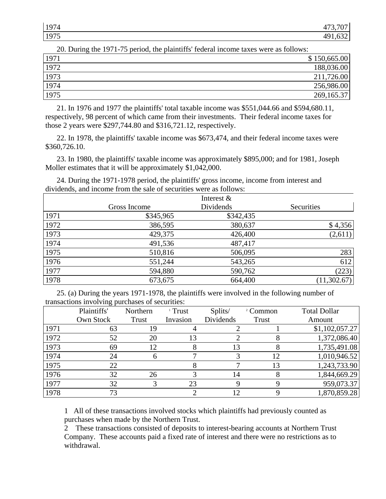| 107<br>74<br><b>I</b> | $\overline{A}$<br>$ -$ |
|-----------------------|------------------------|
| 1975<br><b>L</b>      |                        |

| 20. During the 1971-75 period, the plaintiffs' federal income taxes were as follows: |              |
|--------------------------------------------------------------------------------------|--------------|
| 1971                                                                                 | \$150,665.00 |
| 1972                                                                                 | 188,036.00   |
| 1973                                                                                 | 211,726.00   |
| 1974                                                                                 | 256,986.00   |
| 1975                                                                                 | 269, 165.37  |

20. During the 1971-75 period, the plaintiffs' federal income taxes were as follows:

21. In 1976 and 1977 the plaintiffs' total taxable income was \$551,044.66 and \$594,680.11, respectively, 98 percent of which came from their investments. Their federal income taxes for those 2 years were \$297,744.80 and \$316,721.12, respectively.

22. In 1978, the plaintiffs' taxable income was \$673,474, and their federal income taxes were \$360,726.10.

23. In 1980, the plaintiffs' taxable income was approximately \$895,000; and for 1981, Joseph Moller estimates that it will be approximately \$1,042,000.

24. During the 1971-1978 period, the plaintiffs' gross income, income from interest and dividends, and income from the sale of securities were as follows:

|      |              | Interest & |             |
|------|--------------|------------|-------------|
|      | Gross Income | Dividends  | Securities  |
| 1971 | \$345,965    | \$342,435  |             |
| 1972 | 386,595      | 380,637    | \$4,356     |
| 1973 | 429,375      | 426,400    | (2,611)     |
| 1974 | 491,536      | 487,417    |             |
| 1975 | 510,816      | 506,095    | 283         |
| 1976 | 551,244      | 543,265    | 612         |
| 1977 | 594,880      | 590,762    | (223)       |
| 1978 | 673,675      | 664,400    | (11,302.67) |

25. (a) During the years 1971-1978, the plaintiffs were involved in the following number of transactions involving purchases of securities:

|      | Plaintiffs' | Northern | $\frac{1}{1}$ Trust | Splits/         | <sup>2</sup> Common | <b>Total Dollar</b> |
|------|-------------|----------|---------------------|-----------------|---------------------|---------------------|
|      | Own Stock   | Trust    | Invasion            | Dividends       | Trust               | Amount              |
| 1971 | 63          | 19       |                     |                 |                     | \$1,102,057.27      |
| 1972 | 52          | 20       | 13                  |                 |                     | 1,372,086.40        |
| 1973 | 69          | 12       |                     | 13              |                     | 1,735,491.08        |
| 1974 | 24          | 6        |                     |                 | 12                  | 1,010,946.52        |
| 1975 | 22          |          |                     |                 | 13                  | 1,243,733.90        |
| 1976 | 32          | 26       |                     | 14              |                     | 1,844,669.29        |
| 1977 | 32          |          | 23                  |                 |                     | 959,073.37          |
| 1978 | 73          |          |                     | 12 <sup>2</sup> |                     | 1,870,859.28        |

1 All of these transactions involved stocks which plaintiffs had previously counted as purchases when made by the Northern Trust.

2 These transactions consisted of deposits to interest-bearing accounts at Northern Trust Company. These accounts paid a fixed rate of interest and there were no restrictions as to withdrawal.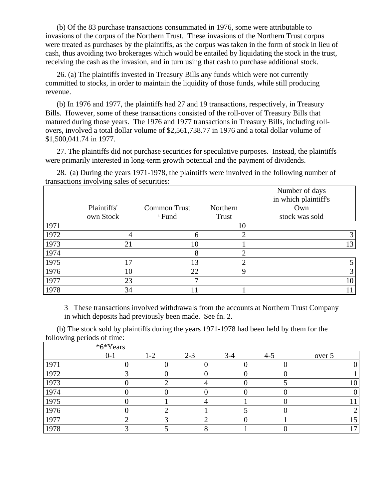(b) Of the 83 purchase transactions consummated in 1976, some were attributable to invasions of the corpus of the Northern Trust. These invasions of the Northern Trust corpus were treated as purchases by the plaintiffs, as the corpus was taken in the form of stock in lieu of cash, thus avoiding two brokerages which would be entailed by liquidating the stock in the trust, receiving the cash as the invasion, and in turn using that cash to purchase additional stock.

26. (a) The plaintiffs invested in Treasury Bills any funds which were not currently committed to stocks, in order to maintain the liquidity of those funds, while still producing revenue.

(b) In 1976 and 1977, the plaintiffs had 27 and 19 transactions, respectively, in Treasury Bills. However, some of these transactions consisted of the roll-over of Treasury Bills that matured during those years. The 1976 and 1977 transactions in Treasury Bills, including rollovers, involved a total dollar volume of \$2,561,738.77 in 1976 and a total dollar volume of \$1,500,041.74 in 1977.

27. The plaintiffs did not purchase securities for speculative purposes. Instead, the plaintiffs were primarily interested in long-term growth potential and the payment of dividends.

28. (a) During the years 1971-1978, the plaintiffs were involved in the following number of transactions involving sales of securities: Number of days

|      |             |                     |          | Number of days       |
|------|-------------|---------------------|----------|----------------------|
|      |             |                     |          | in which plaintiff's |
|      | Plaintiffs' | <b>Common Trust</b> | Northern | Own                  |
|      | own Stock   | <sup>3</sup> Fund   | Trust    | stock was sold       |
| 1971 |             |                     | 10       |                      |
| 1972 |             | 6                   | ◠        |                      |
| 1973 | 21          | 10                  |          | 13 <sub>1</sub>      |
| 1974 |             | 8                   |          |                      |
| 1975 | 17          | 13                  |          |                      |
| 1976 | 10          | 22                  | Q        |                      |
| 1977 | 23          | −                   |          | 10                   |
| 1978 | 34          |                     |          |                      |

3 These transactions involved withdrawals from the accounts at Northern Trust Company in which deposits had previously been made. See fn. 2.

(b) The stock sold by plaintiffs during the years 1971-1978 had been held by them for the following periods of time:

|      | *6*Years |       |         |         |         |        |
|------|----------|-------|---------|---------|---------|--------|
|      | $0 - 1$  | $1-2$ | $2 - 3$ | $3 - 4$ | $4 - 5$ | over 5 |
| 1971 |          |       |         |         |         |        |
| 1972 |          |       |         |         |         |        |
| 1973 |          |       |         |         |         | 10     |
| 1974 |          |       |         |         |         |        |
| 1975 |          |       |         |         |         |        |
| 1976 |          |       |         |         |         |        |
| 1977 |          |       |         |         |         | 15     |
| 1978 |          |       |         |         |         | 17     |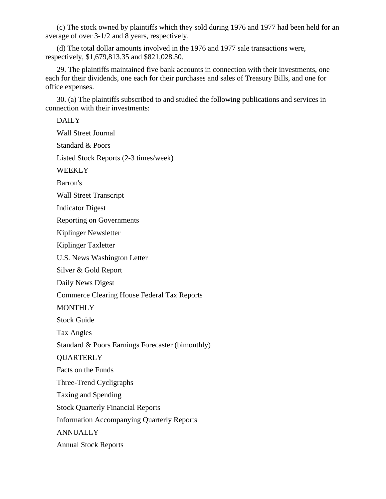(c) The stock owned by plaintiffs which they sold during 1976 and 1977 had been held for an average of over 3-1/2 and 8 years, respectively.

(d) The total dollar amounts involved in the 1976 and 1977 sale transactions were, respectively, \$1,679,813.35 and \$821,028.50.

29. The plaintiffs maintained five bank accounts in connection with their investments, one each for their dividends, one each for their purchases and sales of Treasury Bills, and one for office expenses.

30. (a) The plaintiffs subscribed to and studied the following publications and services in connection with their investments:

DAILY Wall Street Journal Standard & Poors Listed Stock Reports (2-3 times/week) **WEEKLY** Barron's Wall Street Transcript Indicator Digest Reporting on Governments Kiplinger Newsletter Kiplinger Taxletter U.S. News Washington Letter Silver & Gold Report Daily News Digest Commerce Clearing House Federal Tax Reports **MONTHLY** Stock Guide Tax Angles Standard & Poors Earnings Forecaster (bimonthly) **QUARTERLY** Facts on the Funds Three-Trend Cycligraphs Taxing and Spending Stock Quarterly Financial Reports Information Accompanying Quarterly Reports ANNUALLY Annual Stock Reports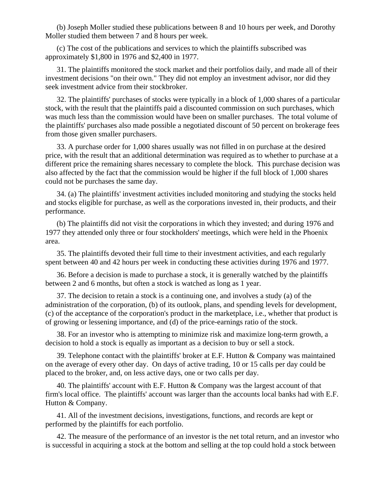(b) Joseph Moller studied these publications between 8 and 10 hours per week, and Dorothy Moller studied them between 7 and 8 hours per week.

(c) The cost of the publications and services to which the plaintiffs subscribed was approximately \$1,800 in 1976 and \$2,400 in 1977.

31. The plaintiffs monitored the stock market and their portfolios daily, and made all of their investment decisions "on their own." They did not employ an investment advisor, nor did they seek investment advice from their stockbroker.

32. The plaintiffs' purchases of stocks were typically in a block of 1,000 shares of a particular stock, with the result that the plaintiffs paid a discounted commission on such purchases, which was much less than the commission would have been on smaller purchases. The total volume of the plaintiffs' purchases also made possible a negotiated discount of 50 percent on brokerage fees from those given smaller purchasers.

33. A purchase order for 1,000 shares usually was not filled in on purchase at the desired price, with the result that an additional determination was required as to whether to purchase at a different price the remaining shares necessary to complete the block. This purchase decision was also affected by the fact that the commission would be higher if the full block of 1,000 shares could not be purchases the same day.

34. (a) The plaintiffs' investment activities included monitoring and studying the stocks held and stocks eligible for purchase, as well as the corporations invested in, their products, and their performance.

(b) The plaintiffs did not visit the corporations in which they invested; and during 1976 and 1977 they attended only three or four stockholders' meetings, which were held in the Phoenix area.

35. The plaintiffs devoted their full time to their investment activities, and each regularly spent between 40 and 42 hours per week in conducting these activities during 1976 and 1977.

36. Before a decision is made to purchase a stock, it is generally watched by the plaintiffs between 2 and 6 months, but often a stock is watched as long as 1 year.

37. The decision to retain a stock is a continuing one, and involves a study (a) of the administration of the corporation, (b) of its outlook, plans, and spending levels for development, (c) of the acceptance of the corporation's product in the marketplace, i.e., whether that product is of growing or lessening importance, and (d) of the price-earnings ratio of the stock.

38. For an investor who is attempting to minimize risk and maximize long-term growth, a decision to hold a stock is equally as important as a decision to buy or sell a stock.

39. Telephone contact with the plaintiffs' broker at E.F. Hutton & Company was maintained on the average of every other day. On days of active trading, 10 or 15 calls per day could be placed to the broker, and, on less active days, one or two calls per day.

40. The plaintiffs' account with E.F. Hutton & Company was the largest account of that firm's local office. The plaintiffs' account was larger than the accounts local banks had with E.F. Hutton & Company.

41. All of the investment decisions, investigations, functions, and records are kept or performed by the plaintiffs for each portfolio.

42. The measure of the performance of an investor is the net total return, and an investor who is successful in acquiring a stock at the bottom and selling at the top could hold a stock between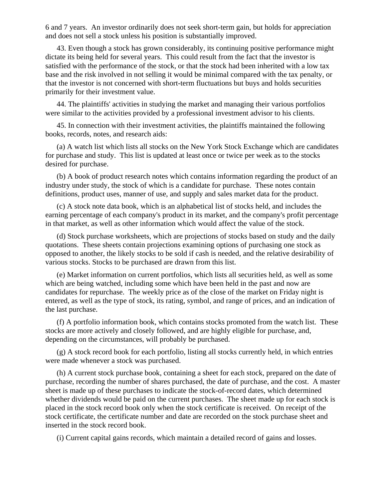6 and 7 years. An investor ordinarily does not seek short-term gain, but holds for appreciation and does not sell a stock unless his position is substantially improved.

43. Even though a stock has grown considerably, its continuing positive performance might dictate its being held for several years. This could result from the fact that the investor is satisfied with the performance of the stock, or that the stock had been inherited with a low tax base and the risk involved in not selling it would be minimal compared with the tax penalty, or that the investor is not concerned with short-term fluctuations but buys and holds securities primarily for their investment value.

44. The plaintiffs' activities in studying the market and managing their various portfolios were similar to the activities provided by a professional investment advisor to his clients.

45. In connection with their investment activities, the plaintiffs maintained the following books, records, notes, and research aids:

(a) A watch list which lists all stocks on the New York Stock Exchange which are candidates for purchase and study. This list is updated at least once or twice per week as to the stocks desired for purchase.

(b) A book of product research notes which contains information regarding the product of an industry under study, the stock of which is a candidate for purchase. These notes contain definitions, product uses, manner of use, and supply and sales market data for the product.

(c) A stock note data book, which is an alphabetical list of stocks held, and includes the earning percentage of each company's product in its market, and the company's profit percentage in that market, as well as other information which would affect the value of the stock.

(d) Stock purchase worksheets, which are projections of stocks based on study and the daily quotations. These sheets contain projections examining options of purchasing one stock as opposed to another, the likely stocks to be sold if cash is needed, and the relative desirability of various stocks. Stocks to be purchased are drawn from this list.

(e) Market information on current portfolios, which lists all securities held, as well as some which are being watched, including some which have been held in the past and now are candidates for repurchase. The weekly price as of the close of the market on Friday night is entered, as well as the type of stock, its rating, symbol, and range of prices, and an indication of the last purchase.

(f) A portfolio information book, which contains stocks promoted from the watch list. These stocks are more actively and closely followed, and are highly eligible for purchase, and, depending on the circumstances, will probably be purchased.

(g) A stock record book for each portfolio, listing all stocks currently held, in which entries were made whenever a stock was purchased.

(h) A current stock purchase book, containing a sheet for each stock, prepared on the date of purchase, recording the number of shares purchased, the date of purchase, and the cost. A master sheet is made up of these purchases to indicate the stock-of-record dates, which determined whether dividends would be paid on the current purchases. The sheet made up for each stock is placed in the stock record book only when the stock certificate is received. On receipt of the stock certificate, the certificate number and date are recorded on the stock purchase sheet and inserted in the stock record book.

(i) Current capital gains records, which maintain a detailed record of gains and losses.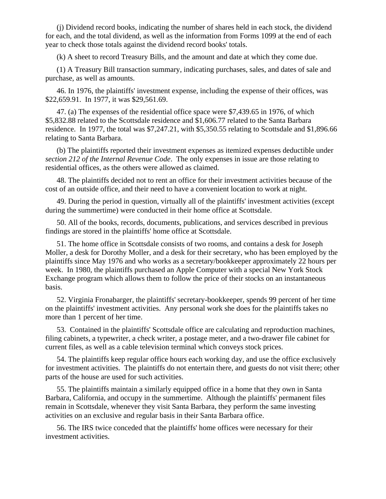(j) Dividend record books, indicating the number of shares held in each stock, the dividend for each, and the total dividend, as well as the information from Forms 1099 at the end of each year to check those totals against the dividend record books' totals.

(k) A sheet to record Treasury Bills, and the amount and date at which they come due.

(1) A Treasury Bill transaction summary, indicating purchases, sales, and dates of sale and purchase, as well as amounts.

46. In 1976, the plaintiffs' investment expense, including the expense of their offices, was \$22,659.91. In 1977, it was \$29,561.69.

47. (a) The expenses of the residential office space were \$7,439.65 in 1976, of which \$5,832.88 related to the Scottsdale residence and \$1,606.77 related to the Santa Barbara residence. In 1977, the total was \$7,247.21, with \$5,350.55 relating to Scottsdale and \$1,896.66 relating to Santa Barbara.

(b) The plaintiffs reported their investment expenses as itemized expenses deductible under *section 212 of the Internal Revenue Code*. The only expenses in issue are those relating to residential offices, as the others were allowed as claimed.

48. The plaintiffs decided not to rent an office for their investment activities because of the cost of an outside office, and their need to have a convenient location to work at night.

49. During the period in question, virtually all of the plaintiffs' investment activities (except during the summertime) were conducted in their home office at Scottsdale.

50. All of the books, records, documents, publications, and services described in previous findings are stored in the plaintiffs' home office at Scottsdale.

51. The home office in Scottsdale consists of two rooms, and contains a desk for Joseph Moller, a desk for Dorothy Moller, and a desk for their secretary, who has been employed by the plaintiffs since May 1976 and who works as a secretary/bookkeeper approximately 22 hours per week. In 1980, the plaintiffs purchased an Apple Computer with a special New York Stock Exchange program which allows them to follow the price of their stocks on an instantaneous basis.

52. Virginia Fronabarger, the plaintiffs' secretary-bookkeeper, spends 99 percent of her time on the plaintiffs' investment activities. Any personal work she does for the plaintiffs takes no more than 1 percent of her time.

53. Contained in the plaintiffs' Scottsdale office are calculating and reproduction machines, filing cabinets, a typewriter, a check writer, a postage meter, and a two-drawer file cabinet for current files, as well as a cable television terminal which conveys stock prices.

54. The plaintiffs keep regular office hours each working day, and use the office exclusively for investment activities. The plaintiffs do not entertain there, and guests do not visit there; other parts of the house are used for such activities.

55. The plaintiffs maintain a similarly equipped office in a home that they own in Santa Barbara, California, and occupy in the summertime. Although the plaintiffs' permanent files remain in Scottsdale, whenever they visit Santa Barbara, they perform the same investing activities on an exclusive and regular basis in their Santa Barbara office.

56. The IRS twice conceded that the plaintiffs' home offices were necessary for their investment activities.